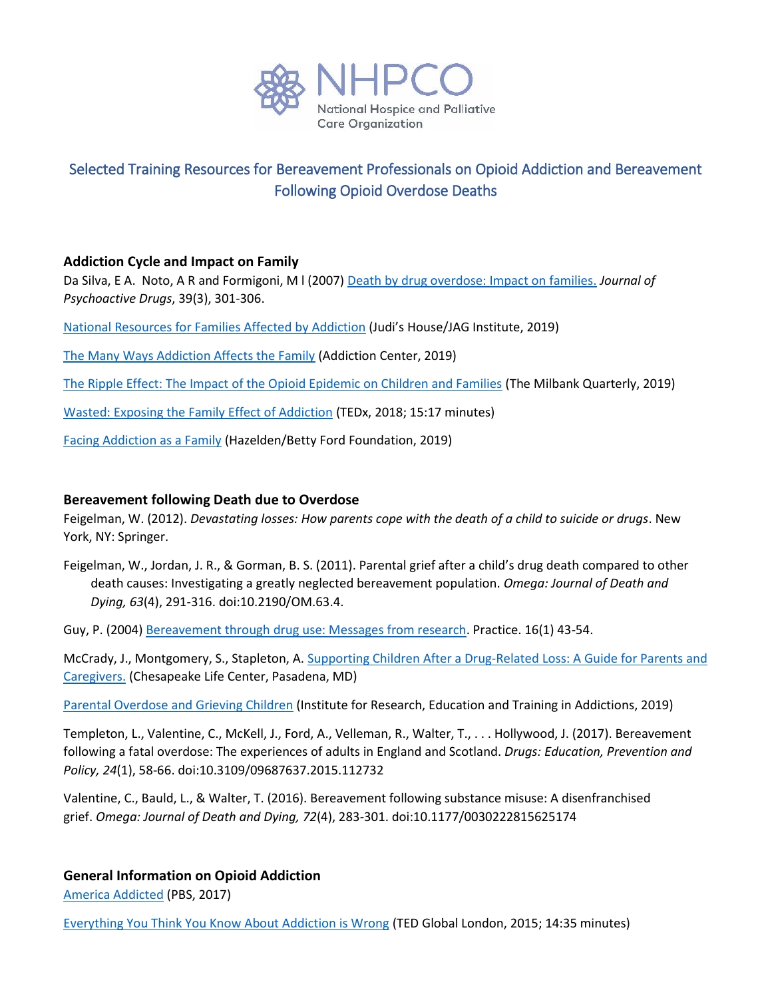

# Selected Training Resources for Bereavement Professionals on Opioid Addiction and Bereavement Following Opioid Overdose Deaths

# **Addiction Cycle and Impact on Family**

Da Silva, E A. Noto, A R and Formigoni, M l (2007[\) Death by drug overdose: Impact on families.](https://www.ncbi.nlm.nih.gov/pubmed/18159785) *Journal of Psychoactive Drugs*, 39(3), 301-306.

- [National Resources for Families Affected by Addiction](https://static1.squarespace.com/static/55147c75e4b0263cc205be38/t/5d1505d91ac81a0001d56010/1561658842116/JH-JAG+National+Resources+for+Families+Affected+by+Addiction.pdf) (Judi's House/JAG Institute, 2019)
- [The Many Ways Addiction Affects the Family](https://www.addictioncenter.com/addiction/how-addiction-affects-the-family/) (Addiction Center, 2019)
- [The Ripple Effect: The Impact of the Opioid Epidemic on Children and Families](https://www.milbank.org/publications/the-ripple-effect-the-impact-of-the-opioid-epidemic-on-children-and-families/) (The Milbank Quarterly, 2019)
- [Wasted: Exposing the Family Effect of Addiction](https://www.youtube.com/watch?v=1qI-Qn7xass) (TEDx, 2018; 15:17 minutes)
- [Facing Addiction as a Family](https://www.hazeldenbettyford.org/addiction/help-for-families) (Hazelden/Betty Ford Foundation, 2019)

# **Bereavement following Death due to Overdose**

Feigelman, W. (2012). *Devastating losses: How parents cope with the death of a child to suicide or drugs*. New York, NY: Springer.

Feigelman, W., Jordan, J. R., & Gorman, B. S. (2011). Parental grief after a child's drug death compared to other death causes: Investigating a greatly neglected bereavement population. *Omega: Journal of Death and Dying, 63*(4), 291-316. doi:10.2190/OM.63.4.

Guy, P. (2004) Bereavement through [drug use: Messages from research.](https://www.tandfonline.com/doi/abs/10.1080/0950315042000254956) Practice. 16(1) 43-54.

McCrady, J., Montgomery, S., Stapleton, A. [Supporting Children After a Drug-Related Loss: A Guide for Parents and](https://www.hospicechesapeake.org/wp-content/uploads/2019/08/CLC-Grief-Booklet-FINAL-V2-Single-Page.pdf)  [Caregivers.](https://www.hospicechesapeake.org/wp-content/uploads/2019/08/CLC-Grief-Booklet-FINAL-V2-Single-Page.pdf) (Chesapeake Life Center, Pasadena, MD)

[Parental Overdose and Grieving Children](https://ireta.org/resources/parental-overdose-and-grieving-children/) (Institute for Research, Education and Training in Addictions, 2019)

Templeton, L., Valentine, C., McKell, J., Ford, A., Velleman, R., Walter, T., . . . Hollywood, J. (2017). Bereavement following a fatal overdose: The experiences of adults in England and Scotland. *Drugs: Education, Prevention and Policy, 24*(1), 58-66. doi:10.3109/09687637.2015.112732

Valentine, C., Bauld, L., & Walter, T. (2016). Bereavement following substance misuse: A disenfranchised grief. *Omega: Journal of Death and Dying, 72*(4), 283-301. doi:10.1177/0030222815625174

# **General Information on Opioid Addiction**

[America Addicted](https://www.pbs.org/newshour/features/america-addicted/) (PBS, 2017)

[Everything You Think You Know About Addiction is Wrong](https://www.ted.com/talks/johann_hari_everything_you_think_you_know_about_addiction_is_wrong) (TED Global London, 2015; 14:35 minutes)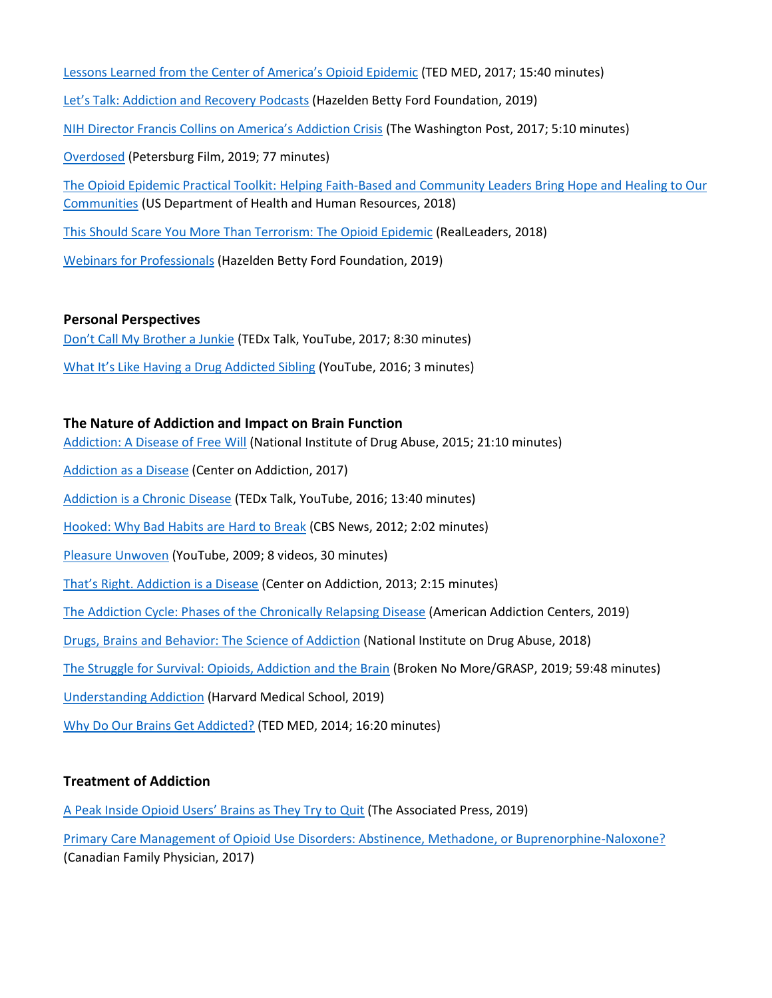[Lessons Learned from the Center of America's Opioid Epidemic](https://www.tedmed.com/talks/show?id=687774) (TED MED, 2017; 15:40 minutes) Let's Talk: Addict[ion and Recovery Podcasts](https://www.hazeldenbettyford.org/professionals/event-calendar/webinars) (Hazelden Betty Ford Foundation, 2019) [NIH Director Francis Collins on America's Addiction Crisis](https://www.washingtonpost.com/video/postlive/nih-directorfrancis-collins-on-opioid-crisis-in-the-us/2017/09/20/cfb04e68-9e41-11e7-b2a7-bc70b6f98089_video.html?noredirect=on&utm_term=.2bc4a15eab34) (The Washington Post, 2017; 5:10 minutes) [Overdosed](https://www.overdosedfilm.com/) (Petersburg Film, 2019; 77 minutes) [The Opioid Epidemic Practical Toolkit: Helping Faith-Based and Community Leaders Bring Hope and Healing to Our](https://www.hhs.gov/sites/default/files/hhs-partnership-ctr-opioid-practical-toolkit-unremediated.pdf)  [Communities](https://www.hhs.gov/sites/default/files/hhs-partnership-ctr-opioid-practical-toolkit-unremediated.pdf) (US Department of Health and Human Resources, 2018) [This Should Scare You More Than Terrorism: The Opioid Epidemic](https://real-leaders.com/this-should-scare-you-more-than-terrorism-the-opioid-epidemic/) (RealLeaders, 2018)

[Webinars for Professionals](https://www.hazeldenbettyford.org/professionals/event-calendar/webinars) (Hazelden Betty Ford Foundation, 2019)

#### **Personal Perspectives**

[Don't Call My Brother a Junkie](https://www.youtube.com/watch?v=6bJzi6Wsb5k) (TEDx Talk, YouTube, 2017; 8:30 minutes) W[hat It's Like Having a Drug Addicted Sibling](https://www.youtube.com/watch?v=IPDswHoOkBQ) (YouTube, 2016; 3 minutes)

#### **The Nature of Addiction and Impact on Brain Function**

[Addiction: A Disease of Free Will](https://www.drugabuse.gov/videos/dr-nora-volkow-addiction-disease-free-will) (National Institute of Drug Abuse, 2015; 21:10 minutes) [Addiction as a Disease](https://www.centeronaddiction.org/what-addiction/addiction-disease) (Center on Addiction, 2017) [Addiction is a Chronic Disease](https://www.youtube.com/watch?v=3OD4ifmC3M4) (TEDx Talk, YouTube, 2016; 13:40 minutes) [Hooked: Why Bad Habits are Hard to Break](https://www.youtube.com/watch?v=5f1ie_It8wM) (CBS News, 2012; 2:02 minutes) [Pleasure Unwoven](https://www.youtube.com/playlist?list=PLA8F89537FD4C3FD1) (YouTube, 2009; 8 videos, 30 minutes) [That's Right. Addiction is a Disease](https://www.youtube.com/watch?v=P--6LEbksds) (Center on Addiction, 2013; 2:15 minutes) [The Addiction Cycle: Phases of the Chronically Relapsing Disease](https://americanaddictioncenters.org/the-addiction-cycle) (American Addiction Centers, 2019) [Drugs, Brains and Behavior: The Science of Addiction](https://www.drugabuse.gov/publications/drugs-brains-behavior-science-addiction/preface) (National Institute on Drug Abuse, 2018) [The Struggle for Survival: Opioids, Addiction and the Brain](https://www.youtube.com/watch?v=s6mtXe0S1ok) (Broken No More/GRASP, 2019; 59:48 minutes) [Understanding Addiction](https://cmeonline.hms.harvard.edu/courses/course-v1:HMSCMEOnline+OUDEP1+2T2019/about?utm_source=cme-catalog) (Harvard Medical School, 2019)

[Why Do Our Brains Get Addicted?](https://www.tedmed.com/talks/show?id=309096) (TED MED, 2014; 16:20 minutes)

#### **Treatment of Addiction**

[A Peak Inside Opioid Users' Brains as They Try to Quit](https://medicalxpress.com/news/2019-07-peek-opioid-users-brains.html) (The Associated Press, 2019)

[Primary Care Management of Opioid Use Disorders: Abstinence, Methadone, or Buprenorphine-Naloxone?](https://www.ncbi.nlm.nih.gov/pmc/articles/PMC5349718/) (Canadian Family Physician, 2017)